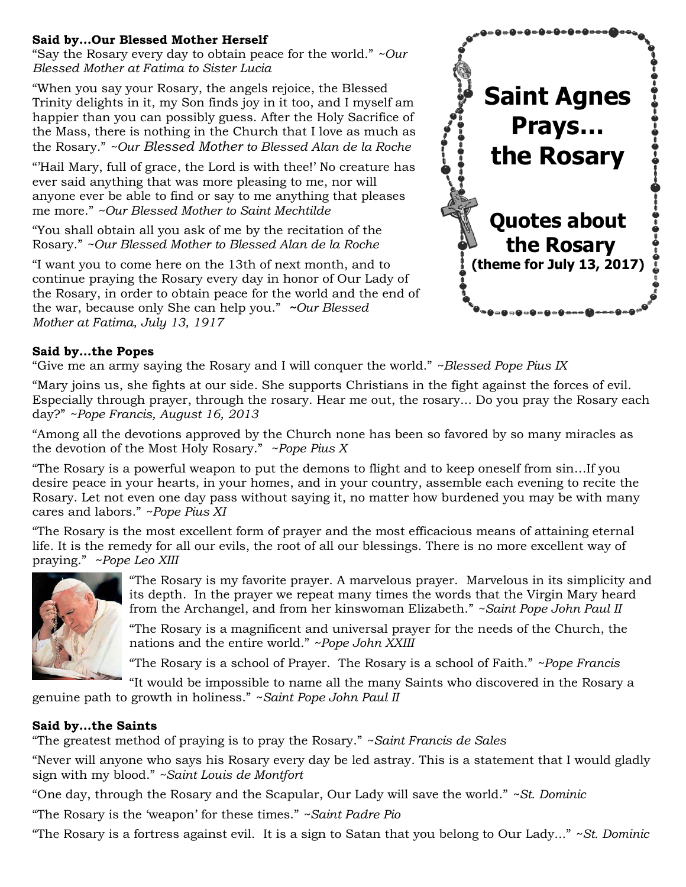## **Said by…Our Blessed Mother Herself**

"Say the Rosary every day to obtain peace for the world." *~Our Blessed Mother at Fatima to Sister Lucia*

"When you say your Rosary, the angels rejoice, the Blessed Trinity delights in it, my Son finds joy in it too, and I myself am happier than you can possibly guess. After the Holy Sacrifice of the Mass, there is nothing in the Church that I love as much as the Rosary." *~Our Blessed Mother to Blessed Alan de la Roche*

"'Hail Mary, full of grace, the Lord is with thee!' No creature has ever said anything that was more pleasing to me, nor will anyone ever be able to find or say to me anything that pleases me more." *~Our Blessed Mother to Saint Mechtilde*

"You shall obtain all you ask of me by the recitation of the Rosary." *~Our Blessed Mother to Blessed Alan de la Roche*

"I want you to come here on the 13th of next month, and to continue praying the Rosary every day in honor of Our Lady of the Rosary, in order to obtain peace for the world and the end of the war, because only She can help you." *~Our Blessed Mother at Fatima, July 13, 1917*



# **Said by…the Popes**

"Give me an army saying the Rosary and I will conquer the world." *~Blessed Pope Pius IX*

"Mary joins us, she fights at our side. She supports Christians in the fight against the forces of evil. Especially through prayer, through the rosary. Hear me out, the rosary... Do you pray the Rosary each day?" *~Pope Francis, August 16, 2013*

"Among all the devotions approved by the Church none has been so favored by so many miracles as the devotion of the Most Holy Rosary." *~Pope Pius X*

"The Rosary is a powerful weapon to put the demons to flight and to keep oneself from sin…If you desire peace in your hearts, in your homes, and in your country, assemble each evening to recite the Rosary. Let not even one day pass without saying it, no matter how burdened you may be with many cares and labors." *~Pope Pius XI*

"The Rosary is the most excellent form of prayer and the most efficacious means of attaining eternal life. It is the remedy for all our evils, the root of all our blessings. There is no more excellent way of praying." *~Pope Leo XIII*



"The Rosary is my favorite prayer. A marvelous prayer. Marvelous in its simplicity and its depth. In the prayer we repeat many times the words that the Virgin Mary heard from the Archangel, and from her kinswoman Elizabeth." *~Saint Pope John Paul II*

"The Rosary is a magnificent and universal prayer for the needs of the Church, the nations and the entire world." *~Pope John XXIII*

"The Rosary is a school of Prayer. The Rosary is a school of Faith." *~Pope Francis*

"It would be impossible to name all the many Saints who discovered in the Rosary a genuine path to growth in holiness." *~Saint Pope John Paul II*

### **Said by…the Saints**

"The greatest method of praying is to pray the Rosary." *~Saint Francis de Sales*

"Never will anyone who says his Rosary every day be led astray. This is a statement that I would gladly sign with my blood." *~Saint Louis de Montfort*

"One day, through the Rosary and the Scapular, Our Lady will save the world." *~St. Dominic*

"The Rosary is the 'weapon' for these times." *~Saint Padre Pio*

"The Rosary is a fortress against evil. It is a sign to Satan that you belong to Our Lady..." *~St. Dominic*